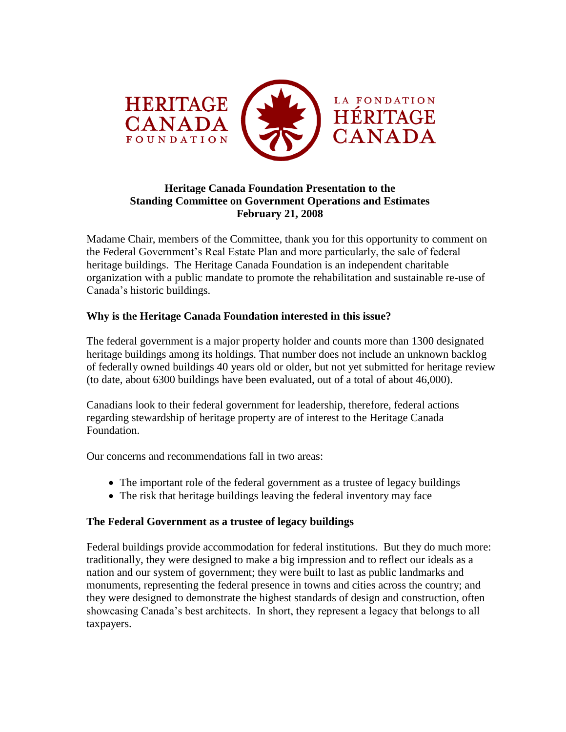

## **Heritage Canada Foundation Presentation to the Standing Committee on Government Operations and Estimates February 21, 2008**

Madame Chair, members of the Committee, thank you for this opportunity to comment on the Federal Government"s Real Estate Plan and more particularly, the sale of federal heritage buildings. The Heritage Canada Foundation is an independent charitable organization with a public mandate to promote the rehabilitation and sustainable re-use of Canada"s historic buildings.

# **Why is the Heritage Canada Foundation interested in this issue?**

The federal government is a major property holder and counts more than 1300 designated heritage buildings among its holdings. That number does not include an unknown backlog of federally owned buildings 40 years old or older, but not yet submitted for heritage review (to date, about 6300 buildings have been evaluated, out of a total of about 46,000).

Canadians look to their federal government for leadership, therefore, federal actions regarding stewardship of heritage property are of interest to the Heritage Canada Foundation.

Our concerns and recommendations fall in two areas:

- The important role of the federal government as a trustee of legacy buildings
- The risk that heritage buildings leaving the federal inventory may face

### **The Federal Government as a trustee of legacy buildings**

Federal buildings provide accommodation for federal institutions. But they do much more: traditionally, they were designed to make a big impression and to reflect our ideals as a nation and our system of government; they were built to last as public landmarks and monuments, representing the federal presence in towns and cities across the country; and they were designed to demonstrate the highest standards of design and construction, often showcasing Canada"s best architects. In short, they represent a legacy that belongs to all taxpayers.